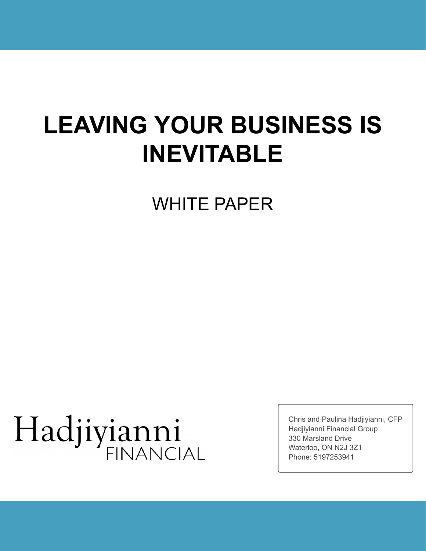# **LEAVING YOUR BUSINESS IS INEVITABLE**

WHITE PAPER

# Hadjiyianni

Chris and Paulina Hadjiyianni, CFP Hadjiyianni Financial Group 330 Marsland Drive Waterloo, ON N2J 3Z1 Phone: 5197253941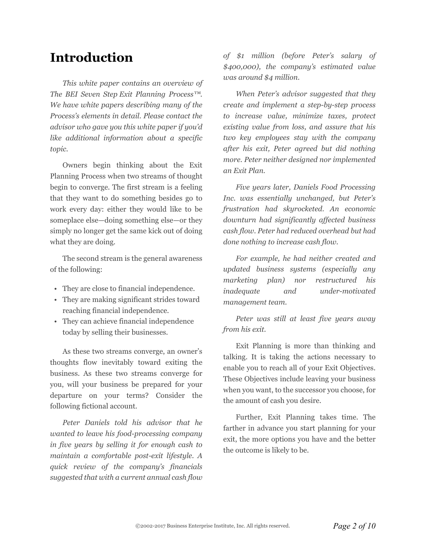# **Introduction**

*This white paper contains an overview of The BEI Seven Step Exit Planning Process™. We have white papers describing many of the Process's elements in detail. Please contact the advisor who gave you this white paper if you'd like additional information about a specific topic.*

Owners begin thinking about the Exit Planning Process when two streams of thought begin to converge. The first stream is a feeling that they want to do something besides go to work every day: either they would like to be someplace else—doing something else—or they simply no longer get the same kick out of doing what they are doing.

The second stream is the general awareness of the following:

- They are close to financial independence.
- They are making significant strides toward reaching financial independence.
- They can achieve financial independence today by selling their businesses.

As these two streams converge, an owner's thoughts flow inevitably toward exiting the business. As these two streams converge for you, will your business be prepared for your departure on your terms? Consider the following fictional account.

*Peter Daniels told his advisor that he wanted to leave his food-processing company in five years by selling it for enough cash to maintain a comfortable post-exit lifestyle. A quick review of the company's financials suggested that with a current annual cash flow*

*of \$1 million (before Peter's salary of \$400,000), the company's estimated value was around \$4 million.*

*When Peter's advisor suggested that they create and implement a step-by-step process to increase value, minimize taxes, protect existing value from loss, and assure that his two key employees stay with the company after his exit, Peter agreed but did nothing more. Peter neither designed nor implemented an Exit Plan.*

*Five years later, Daniels Food Processing Inc. was essentially unchanged, but Peter's frustration had skyrocketed. An economic downturn had significantly affected business cash flow. Peter had reduced overhead but had done nothing to increase cash flow.*

*For example, he had neither created and updated business systems (especially any marketing plan) nor restructured his inadequate and under-motivated management team.*

*Peter was still at least five years away from his exit.*

Exit Planning is more than thinking and talking. It is taking the actions necessary to enable you to reach all of your Exit Objectives. These Objectives include leaving your business when you want, to the successor you choose, for the amount of cash you desire.

Further, Exit Planning takes time. The farther in advance you start planning for your exit, the more options you have and the better the outcome is likely to be.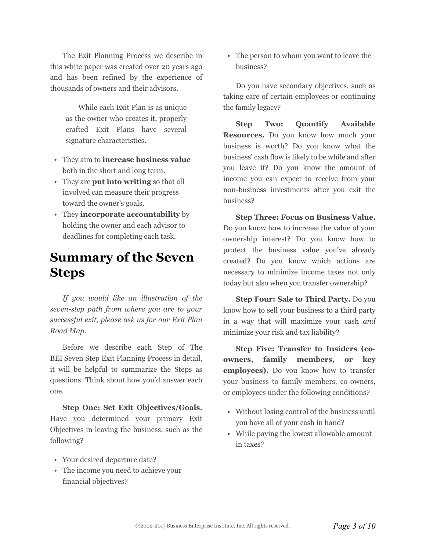The Exit Planning Process we describe in this white paper was created over 20 years ago and has been refined by the experience of thousands of owners and their advisors.

> While each Exit Plan is as unique as the owner who creates it, properly crafted Exit Plans have several signature characteristics.

- They aim to **increase business value** both in the short and long term.
- They are **put into writing** so that all involved can measure their progress toward the owner's goals.
- They **incorporate accountability** by holding the owner and each advisor to deadlines for completing each task.

# **Summary of the Seven Steps**

*If you would like an illustration of the seven-step path from where you are to your successful exit, please ask us for our Exit Plan Road Map.*

Before we describe each Step of The BEI Seven Step Exit Planning Process in detail, it will be helpful to summarize the Steps as questions. Think about how you'd answer each one.

**Step One: Set Exit Objectives/Goals.** Have you determined your primary Exit Objectives in leaving the business, such as the following?

- Your desired departure date?
- The income you need to achieve your financial objectives?

• The person to whom you want to leave the business?

Do you have secondary objectives, such as taking care of certain employees or continuing the family legacy?

**Step Two: Quantify Available Resources.** Do you know how much your business is worth? Do you know what the business' cash flow is likely to be while and after you leave it? Do you know the amount of income you can expect to receive from your non-business investments after you exit the business?

**Step Three: Focus on Business Value.** Do you know how to increase the value of your ownership interest? Do you know how to protect the business value you've already created? Do you know which actions are necessary to minimize income taxes not only today but also when you transfer ownership?

**Step Four: Sale to Third Party.** Do you know how to sell your business to a third party in a way that will maximize your cash *and* minimize your risk and tax liability?

**Step Five: Transfer to Insiders (coowners, family members, or key employees).** Do you know how to transfer your business to family members, co-owners, or employees under the following conditions?

- Without losing control of the business until you have all of your cash in hand?
- While paying the lowest allowable amount in taxes?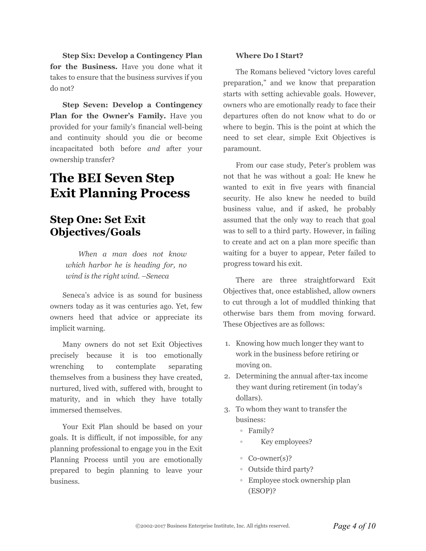**Step Six: Develop a Contingency Plan for the Business.** Have you done what it takes to ensure that the business survives if you do not?

**Step Seven: Develop a Contingency Plan for the Owner's Family.** Have you provided for your family's financial well-being and continuity should you die or become incapacitated both before *and* after your ownership transfer?

# **The BEI Seven Step Exit Planning Process**

#### **Step One: Set Exit Objectives/Goals**

*When a man does not know which harbor he is heading for, no wind is the right wind. –Seneca*

Seneca's advice is as sound for business owners today as it was centuries ago. Yet, few owners heed that advice or appreciate its implicit warning.

Many owners do not set Exit Objectives precisely because it is too emotionally wrenching to contemplate separating themselves from a business they have created, nurtured, lived with, suffered with, brought to maturity, and in which they have totally immersed themselves.

Your Exit Plan should be based on your goals. It is difficult, if not impossible, for any planning professional to engage you in the Exit Planning Process until you are emotionally prepared to begin planning to leave your business.

#### **Where Do I Start?**

The Romans believed "victory loves careful preparation," and we know that preparation starts with setting achievable goals. However, owners who are emotionally ready to face their departures often do not know what to do or where to begin. This is the point at which the need to set clear, simple Exit Objectives is paramount.

From our case study, Peter's problem was not that he was without a goal: He knew he wanted to exit in five years with financial security. He also knew he needed to build business value, and if asked, he probably assumed that the only way to reach that goal was to sell to a third party. However, in failing to create and act on a plan more specific than waiting for a buyer to appear, Peter failed to progress toward his exit*.*

There are three straightforward Exit Objectives that, once established, allow owners to cut through a lot of muddled thinking that otherwise bars them from moving forward. These Objectives are as follows:

- 1. Knowing how much longer they want to work in the business before retiring or moving on.
- 2. Determining the annual after-tax income they want during retirement (in today's dollars).
- 3. To whom they want to transfer the business:
	- Family?
	- Key employees?
	- Co-owner(s)?
	- Outside third party?
	- Employee stock ownership plan (ESOP)?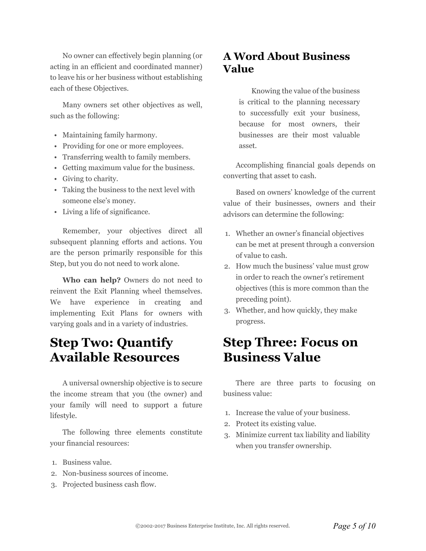No owner can effectively begin planning (or acting in an efficient and coordinated manner) to leave his or her business without establishing each of these Objectives.

Many owners set other objectives as well, such as the following:

- Maintaining family harmony.
- Providing for one or more employees.
- Transferring wealth to family members.
- Getting maximum value for the business.
- Giving to charity.
- Taking the business to the next level with someone else's money.
- Living a life of significance.

Remember, your objectives direct all subsequent planning efforts and actions. You are the person primarily responsible for this Step, but you do not need to work alone.

**Who can help?** Owners do not need to reinvent the Exit Planning wheel themselves. We have experience in creating and implementing Exit Plans for owners with varying goals and in a variety of industries.

# **Step Two: Quantify Available Resources**

A universal ownership objective is to secure the income stream that you (the owner) and your family will need to support a future lifestyle.

The following three elements constitute your financial resources:

- 1. Business value.
- 2. Non-business sources of income.
- 3. Projected business cash flow.

#### **A Word About Business Value**

Knowing the value of the business is critical to the planning necessary to successfully exit your business, because for most owners, their businesses are their most valuable asset.

Accomplishing financial goals depends on converting that asset to cash.

Based on owners' knowledge of the current value of their businesses, owners and their advisors can determine the following:

- 1. Whether an owner's financial objectives can be met at present through a conversion of value to cash.
- 2. How much the business' value must grow in order to reach the owner's retirement objectives (this is more common than the preceding point).
- 3. Whether, and how quickly, they make progress.

# **Step Three: Focus on Business Value**

There are three parts to focusing on business value:

- 1. Increase the value of your business.
- 2. Protect its existing value.
- 3. Minimize current tax liability and liability when you transfer ownership.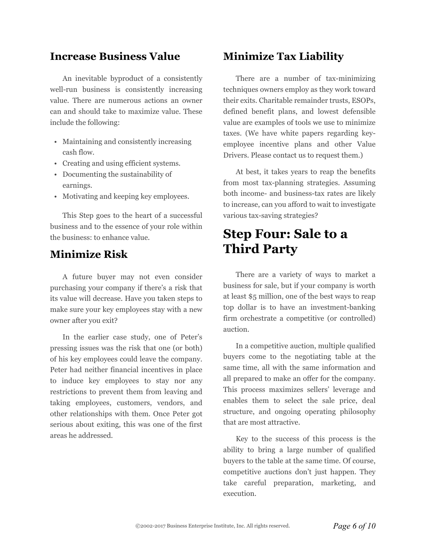#### **Increase Business Value**

An inevitable byproduct of a consistently well-run business is consistently increasing value. There are numerous actions an owner can and should take to maximize value. These include the following:

- Maintaining and consistently increasing cash flow.
- Creating and using efficient systems.
- Documenting the sustainability of earnings.
- Motivating and keeping key employees.

This Step goes to the heart of a successful business and to the essence of your role within the business: to enhance value.

#### **Minimize Risk**

A future buyer may not even consider purchasing your company if there's a risk that its value will decrease. Have you taken steps to make sure your key employees stay with a new owner after you exit?

In the earlier case study, one of Peter's pressing issues was the risk that one (or both) of his key employees could leave the company. Peter had neither financial incentives in place to induce key employees to stay nor any restrictions to prevent them from leaving and taking employees, customers, vendors, and other relationships with them. Once Peter got serious about exiting, this was one of the first areas he addressed.

#### **Minimize Tax Liability**

There are a number of tax-minimizing techniques owners employ as they work toward their exits. Charitable remainder trusts, ESOPs, defined benefit plans, and lowest defensible value are examples of tools we use to minimize taxes. (We have white papers regarding keyemployee incentive plans and other Value Drivers. Please contact us to request them.)

At best, it takes years to reap the benefits from most tax-planning strategies. Assuming both income- and business-tax rates are likely to increase, can you afford to wait to investigate various tax-saving strategies?

# **Step Four: Sale to a Third Party**

There are a variety of ways to market a business for sale, but if your company is worth at least \$5 million, one of the best ways to reap top dollar is to have an investment-banking firm orchestrate a competitive (or controlled) auction.

In a competitive auction, multiple qualified buyers come to the negotiating table at the same time, all with the same information and all prepared to make an offer for the company. This process maximizes sellers' leverage and enables them to select the sale price, deal structure, and ongoing operating philosophy that are most attractive.

Key to the success of this process is the ability to bring a large number of qualified buyers to the table at the same time. Of course, competitive auctions don't just happen. They take careful preparation, marketing, and execution.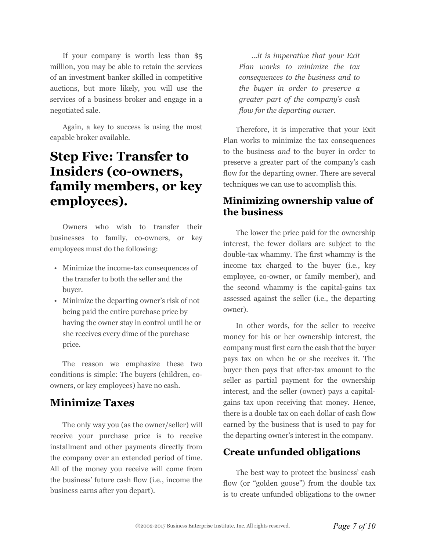If your company is worth less than \$5 million, you may be able to retain the services of an investment banker skilled in competitive auctions, but more likely, you will use the services of a business broker and engage in a negotiated sale.

Again, a key to success is using the most capable broker available.

# **Step Five: Transfer to Insiders (co-owners, family members, or key employees).**

Owners who wish to transfer their businesses to family, co-owners, or key employees must do the following:

- Minimize the income-tax consequences of the transfer to both the seller and the buyer.
- Minimize the departing owner's risk of not being paid the entire purchase price by having the owner stay in control until he or she receives every dime of the purchase price.

The reason we emphasize these two conditions is simple: The buyers (children, coowners, or key employees) have no cash.

#### **Minimize Taxes**

The only way you (as the owner/seller) will receive your purchase price is to receive installment and other payments directly from the company over an extended period of time. All of the money you receive will come from the business' future cash flow (i.e., income the business earns after you depart).

*…it is imperative that your Exit Plan works to minimize the tax consequences to the business and to the buyer in order to preserve a greater part of the company's cash flow for the departing owner.*

Therefore, it is imperative that your Exit Plan works to minimize the tax consequences to the business *and* to the buyer in order to preserve a greater part of the company's cash flow for the departing owner. There are several techniques we can use to accomplish this.

#### **Minimizing ownership value of the business**

The lower the price paid for the ownership interest, the fewer dollars are subject to the double-tax whammy. The first whammy is the income tax charged to the buyer (i.e., key employee, co-owner, or family member), and the second whammy is the capital-gains tax assessed against the seller (i.e., the departing owner).

In other words, for the seller to receive money for his or her ownership interest, the company must first earn the cash that the buyer pays tax on when he or she receives it. The buyer then pays that after-tax amount to the seller as partial payment for the ownership interest, and the seller (owner) pays a capitalgains tax upon receiving that money. Hence, there is a double tax on each dollar of cash flow earned by the business that is used to pay for the departing owner's interest in the company.

#### **Create unfunded obligations**

The best way to protect the business' cash flow (or "golden goose") from the double tax is to create unfunded obligations to the owner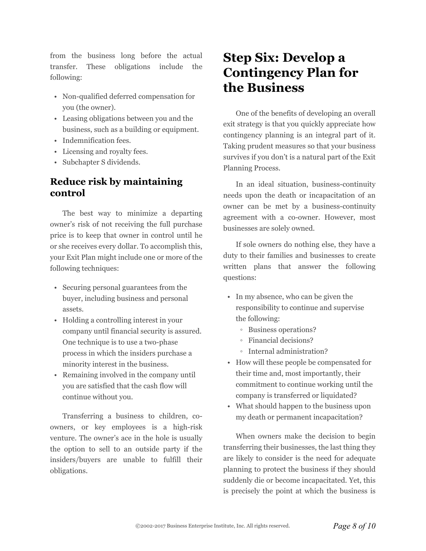from the business long before the actual transfer. These obligations include the following:

- Non-qualified deferred compensation for you (the owner).
- Leasing obligations between you and the business, such as a building or equipment.
- Indemnification fees.
- Licensing and royalty fees.
- Subchapter S dividends.

#### **Reduce risk by maintaining control**

The best way to minimize a departing owner's risk of not receiving the full purchase price is to keep that owner in control until he or she receives every dollar. To accomplish this, your Exit Plan might include one or more of the following techniques:

- Securing personal guarantees from the buyer, including business and personal assets.
- Holding a controlling interest in your company until financial security is assured. One technique is to use a two-phase process in which the insiders purchase a minority interest in the business.
- Remaining involved in the company until you are satisfied that the cash flow will continue without you.

Transferring a business to children, coowners, or key employees is a high-risk venture. The owner's ace in the hole is usually the option to sell to an outside party if the insiders/buyers are unable to fulfill their obligations.

# **Step Six: Develop a Contingency Plan for the Business**

One of the benefits of developing an overall exit strategy is that you quickly appreciate how contingency planning is an integral part of it. Taking prudent measures so that your business survives if you don't is a natural part of the Exit Planning Process.

In an ideal situation, business-continuity needs upon the death or incapacitation of an owner can be met by a business-continuity agreement with a co-owner. However, most businesses are solely owned.

If sole owners do nothing else, they have a duty to their families and businesses to create written plans that answer the following questions:

- In my absence, who can be given the responsibility to continue and supervise the following:
	- Business operations?
	- Financial decisions?
	- Internal administration?
- How will these people be compensated for their time and, most importantly, their commitment to continue working until the company is transferred or liquidated?
- What should happen to the business upon my death or permanent incapacitation?

When owners make the decision to begin transferring their businesses, the last thing they are likely to consider is the need for adequate planning to protect the business if they should suddenly die or become incapacitated. Yet, this is precisely the point at which the business is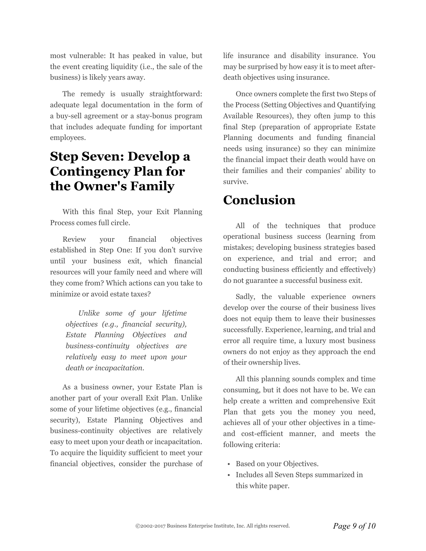most vulnerable: It has peaked in value, but the event creating liquidity (i.e., the sale of the business) is likely years away.

The remedy is usually straightforward: adequate legal documentation in the form of a buy-sell agreement or a stay-bonus program that includes adequate funding for important employees.

## **Step Seven: Develop a Contingency Plan for the Owner's Family**

With this final Step, your Exit Planning Process comes full circle.

Review your financial objectives established in Step One: If you don't survive until your business exit, which financial resources will your family need and where will they come from? Which actions can you take to minimize or avoid estate taxes?

> *Unlike some of your lifetime objectives (e.g., financial security), Estate Planning Objectives and business-continuity objectives are relatively easy to meet upon your death or incapacitation.*

As a business owner, your Estate Plan is another part of your overall Exit Plan. Unlike some of your lifetime objectives (e.g., financial security), Estate Planning Objectives and business-continuity objectives are relatively easy to meet upon your death or incapacitation. To acquire the liquidity sufficient to meet your financial objectives, consider the purchase of life insurance and disability insurance. You may be surprised by how easy it is to meet afterdeath objectives using insurance.

Once owners complete the first two Steps of the Process (Setting Objectives and Quantifying Available Resources), they often jump to this final Step (preparation of appropriate Estate Planning documents and funding financial needs using insurance) so they can minimize the financial impact their death would have on their families and their companies' ability to survive.

# **Conclusion**

All of the techniques that produce operational business success (learning from mistakes; developing business strategies based on experience, and trial and error; and conducting business efficiently and effectively) do not guarantee a successful business exit.

Sadly, the valuable experience owners develop over the course of their business lives does not equip them to leave their businesses successfully. Experience, learning, and trial and error all require time, a luxury most business owners do not enjoy as they approach the end of their ownership lives.

All this planning sounds complex and time consuming, but it does not have to be. We can help create a written and comprehensive Exit Plan that gets you the money you need, achieves all of your other objectives in a timeand cost-efficient manner, and meets the following criteria:

- Based on your Objectives.
- Includes all Seven Steps summarized in this white paper.